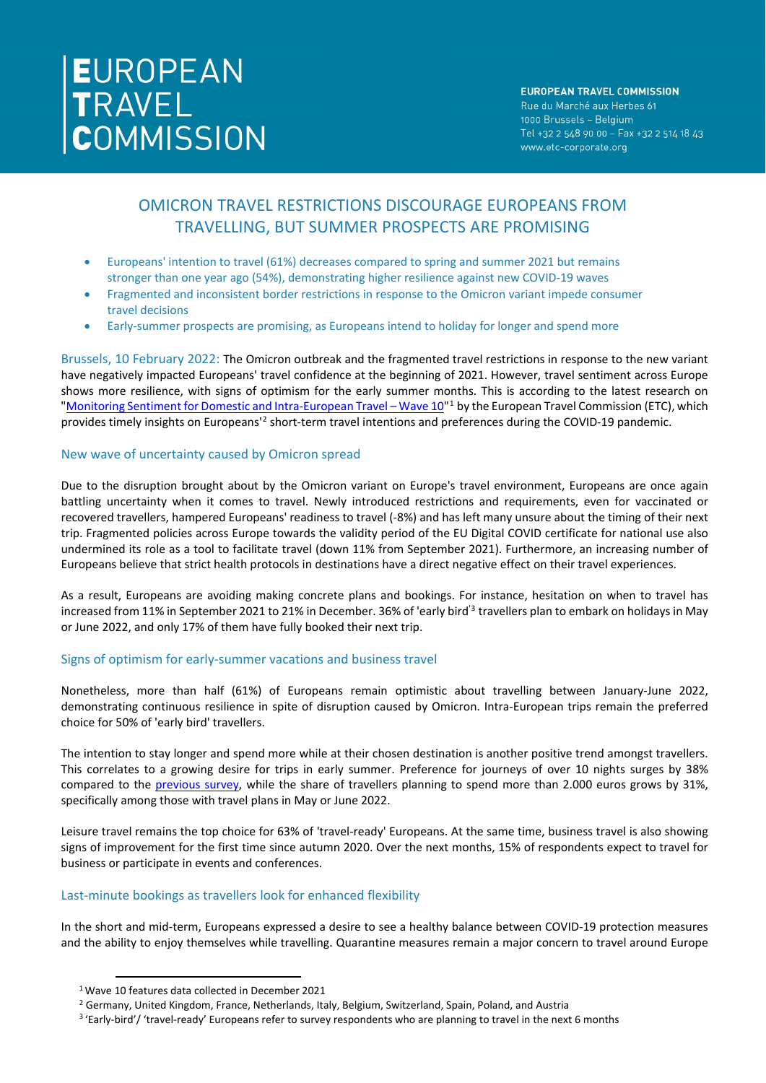# EUROPEAN<br>TRAVEL<br>COMMISSION

### **EUROPEAN TRAVEL COMMISSION**

Rue du Marché aux Herbes 61 1000 Brussels - Belgium Tel +32 2 548 90 00 - Fax +32 2 514 18 43 www.etc-corporate.org

# OMICRON TRAVEL RESTRICTIONS DISCOURAGE EUROPEANS FROM TRAVELLING, BUT SUMMER PROSPECTS ARE PROMISING

- Europeans' intention to travel (61%) decreases compared to spring and summer 2021 but remains stronger than one year ago (54%), demonstrating higher resilience against new COVID-19 waves
- Fragmented and inconsistent border restrictions in response to the Omicron variant impede consumer travel decisions
- Early-summer prospects are promising, as Europeans intend to holiday for longer and spend more

Brussels, 10 February 2022: The Omicron outbreak and the fragmented travel restrictions in response to the new variant have negatively impacted Europeans' travel confidence at the beginning of 2021. However, travel sentiment across Europe shows more resilience, with signs of optimism for the early summer months. This is according to the latest research on ["Monitoring Sentiment for Domestic and Intra-European Travel –](https://etc-corporate.org/reports/monitoring-sentiment-for-domestic-and-intra-european-travel-wave-10/) Wave [1](#page-0-0)0"<sup>1</sup> by the European Travel Commission (ETC), which provides timely insights on Europeans<sup>1[2](#page-0-1)</sup> short-term travel intentions and preferences during the COVID-19 pandemic.

# New wave of uncertainty caused by Omicron spread

Due to the disruption brought about by the Omicron variant on Europe's travel environment, Europeans are once again battling uncertainty when it comes to travel. Newly introduced restrictions and requirements, even for vaccinated or recovered travellers, hampered Europeans' readiness to travel (-8%) and has left many unsure about the timing of their next trip. Fragmented policies across Europe towards the validity period of the EU Digital COVID certificate for national use also undermined its role as a tool to facilitate travel (down 11% from September 2021). Furthermore, an increasing number of Europeans believe that strict health protocols in destinations have a direct negative effect on their travel experiences.

As a result, Europeans are avoiding making concrete plans and bookings. For instance, hesitation on when to travel has increased from 11% in September 2021 to 21% in December. [3](#page-0-2)6% of 'early bird<sup>'3</sup> travellers plan to embark on holidays in May or June 2022, and only 17% of them have fully booked their next trip.

# Signs of optimism for early-summer vacations and business travel

Nonetheless, more than half (61%) of Europeans remain optimistic about travelling between January-June 2022, demonstrating continuous resilience in spite of disruption caused by Omicron. Intra-European trips remain the preferred choice for 50% of 'early bird' travellers.

The intention to stay longer and spend more while at their chosen destination is another positive trend amongst travellers. This correlates to a growing desire for trips in early summer. Preference for journeys of over 10 nights surges by 38% compared to the [previous survey,](https://etc-corporate.org/reports/monitoring-sentiment-for-domestic-and-intra-european-travel-wave-9/) while the share of travellers planning to spend more than 2.000 euros grows by 31%, specifically among those with travel plans in May or June 2022.

Leisure travel remains the top choice for 63% of 'travel-ready' Europeans. At the same time, business travel is also showing signs of improvement for the first time since autumn 2020. Over the next months, 15% of respondents expect to travel for business or participate in events and conferences.

# Last-minute bookings as travellers look for enhanced flexibility

In the short and mid-term, Europeans expressed a desire to see a healthy balance between COVID-19 protection measures and the ability to enjoy themselves while travelling. Quarantine measures remain a major concern to travel around Europe

<span id="page-0-0"></span><sup>1</sup> Wave 10 features data collected in December 2021

<span id="page-0-1"></span><sup>&</sup>lt;sup>2</sup> Germany, United Kingdom, France, Netherlands, Italy, Belgium, Switzerland, Spain, Poland, and Austria

<span id="page-0-2"></span><sup>&</sup>lt;sup>3</sup> 'Early-bird'/ 'travel-ready' Europeans refer to survey respondents who are planning to travel in the next 6 months